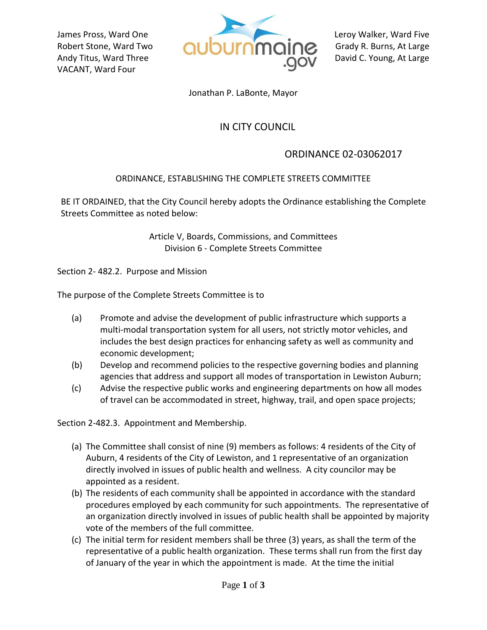VACANT, Ward Four



Jonathan P. LaBonte, Mayor

## IN CITY COUNCIL

## ORDINANCE 02-03062017

## ORDINANCE, ESTABLISHING THE COMPLETE STREETS COMMITTEE

BE IT ORDAINED, that the City Council hereby adopts the Ordinance establishing the Complete Streets Committee as noted below:

> Article V, Boards, Commissions, and Committees Division 6 - Complete Streets Committee

Section 2- 482.2. Purpose and Mission

The purpose of the Complete Streets Committee is to

- (a) Promote and advise the development of public infrastructure which supports a multi-modal transportation system for all users, not strictly motor vehicles, and includes the best design practices for enhancing safety as well as community and economic development;
- (b) Develop and recommend policies to the respective governing bodies and planning agencies that address and support all modes of transportation in Lewiston Auburn;
- (c) Advise the respective public works and engineering departments on how all modes of travel can be accommodated in street, highway, trail, and open space projects;

Section 2-482.3. Appointment and Membership.

- (a) The Committee shall consist of nine (9) members as follows: 4 residents of the City of Auburn, 4 residents of the City of Lewiston, and 1 representative of an organization directly involved in issues of public health and wellness. A city councilor may be appointed as a resident.
- (b) The residents of each community shall be appointed in accordance with the standard procedures employed by each community for such appointments. The representative of an organization directly involved in issues of public health shall be appointed by majority vote of the members of the full committee.
- (c) The initial term for resident members shall be three (3) years, as shall the term of the representative of a public health organization. These terms shall run from the first day of January of the year in which the appointment is made. At the time the initial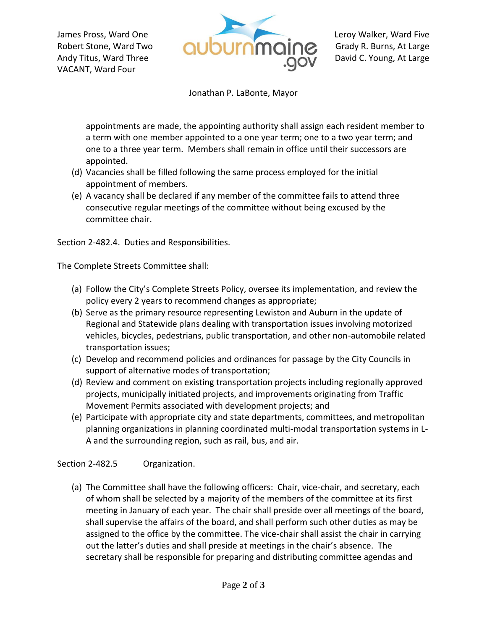VACANT, Ward Four



Jonathan P. LaBonte, Mayor

appointments are made, the appointing authority shall assign each resident member to a term with one member appointed to a one year term; one to a two year term; and one to a three year term. Members shall remain in office until their successors are appointed.

- (d) Vacancies shall be filled following the same process employed for the initial appointment of members.
- (e) A vacancy shall be declared if any member of the committee fails to attend three consecutive regular meetings of the committee without being excused by the committee chair.

Section 2-482.4. Duties and Responsibilities.

The Complete Streets Committee shall:

- (a) Follow the City's Complete Streets Policy, oversee its implementation, and review the policy every 2 years to recommend changes as appropriate;
- (b) Serve as the primary resource representing Lewiston and Auburn in the update of Regional and Statewide plans dealing with transportation issues involving motorized vehicles, bicycles, pedestrians, public transportation, and other non-automobile related transportation issues;
- (c) Develop and recommend policies and ordinances for passage by the City Councils in support of alternative modes of transportation;
- (d) Review and comment on existing transportation projects including regionally approved projects, municipally initiated projects, and improvements originating from Traffic Movement Permits associated with development projects; and
- (e) Participate with appropriate city and state departments, committees, and metropolitan planning organizations in planning coordinated multi-modal transportation systems in L-A and the surrounding region, such as rail, bus, and air.

Section 2-482.5 Organization.

(a) The Committee shall have the following officers: Chair, vice-chair, and secretary, each of whom shall be selected by a majority of the members of the committee at its first meeting in January of each year. The chair shall preside over all meetings of the board, shall supervise the affairs of the board, and shall perform such other duties as may be assigned to the office by the committee. The vice-chair shall assist the chair in carrying out the latter's duties and shall preside at meetings in the chair's absence. The secretary shall be responsible for preparing and distributing committee agendas and